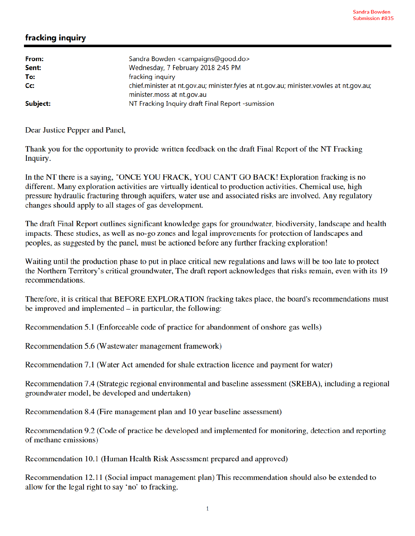## fracking inquiry

| From:<br>Sent: | Sandra Bowden <campaigns@good.do><br/>Wednesday, 7 February 2018 2:45 PM</campaigns@good.do>                          |
|----------------|-----------------------------------------------------------------------------------------------------------------------|
| To:            | fracking inquiry                                                                                                      |
| Cc:            | chief.minister at nt.gov.au; minister.fyles at nt.gov.au; minister.vowles at nt.gov.au;<br>minister.moss at nt.gov.au |
| Subject:       | NT Fracking Inquiry draft Final Report -sumission                                                                     |

Dear Justice Pepper and Panel,

Thank you for the opportunity to provide written feedback on the draft Final Report of the NT Fracking Inquiry.

In the NT there is a saying, "ONCE YOU FRACK, YOU CAN'T GO BACK! Exploration fracking is no different. Many exploration activities are virtually identical to production activities. Chemical use, high pressure hydraulic fracturing through aquifers, water use and associated risks are involved. Any regulatory changes should apply to all stages of gas development.

The draft Final Report outlines significant knowledge gaps for groundwater, biodiversity, landscape and health impacts. These studies, as well as no-go zones and legal improvements for protection of landscapes and peoples, as suggested by the panel, must be actioned before any further fracking exploration!

Waiting until the production phase to put in place critical new regulations and laws will be too late to protect the Northern Territory's critical groundwater, The draft report acknowledges that risks remain, even with its 19 recommendations.

Therefore, it is critical that BEFORE EXPLORATION fracking takes place, the board's recommendations must be improved and implemented  $-$  in particular, the following:

Recommendation 5.1 (Enforceable code of practice for abandonment of onshore gas wells)

Recommendation 5.6 (Wastewater management framework)

Recommendation 7.1 (Water Act amended for shale extraction licence and payment for water)

Recommendation 7.4 (Strategic regional environmental and baseline assessment (SREBA), including a regional groundwater model, be developed and undertaken)

Recommendation 8.4 (Fire management plan and 10 year baseline assessment)

Recommendation 9.2 (Code of practice be developed and implemented for monitoring, detection and reporting of methane emissions)

Recommendation 10.1 (Human Health Risk Assessment prepared and approved)

Recommendation 12.11 (Social impact management plan) This recommendation should also be extended to allow for the legal right to say 'no' to fracking.